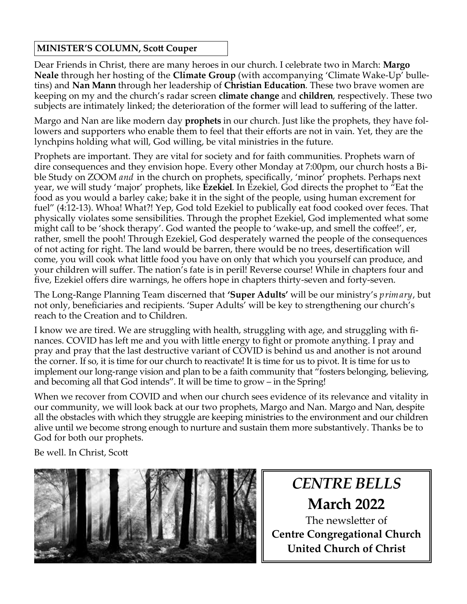#### **MINISTER'S COLUMN, Scott Couper**

Dear Friends in Christ, there are many heroes in our church. I celebrate two in March: **Margo Neale** through her hosting of the **Climate Group** (with accompanying 'Climate Wake-Up' bulletins) and **Nan Mann** through her leadership of **Christian Education**. These two brave women are keeping on my and the church's radar screen **climate change** and **children**, respectively. These two subjects are intimately linked; the deterioration of the former will lead to suffering of the latter.

Margo and Nan are like modern day **prophets** in our church. Just like the prophets, they have followers and supporters who enable them to feel that their efforts are not in vain. Yet, they are the lynchpins holding what will, God willing, be vital ministries in the future.

Prophets are important. They are vital for society and for faith communities. Prophets warn of dire consequences and they envision hope. Every other Monday at 7:00pm, our church hosts a Bible Study on ZOOM *and* in the church on prophets, specifically, 'minor' prophets. Perhaps next year, we will study 'major' prophets, like **Ezekiel**. In Ezekiel, God directs the prophet to "Eat the food as you would a barley cake; bake it in the sight of the people, using human excrement for fuel" (4:12-13). Whoa! What?! Yep, God told Ezekiel to publically eat food cooked over feces. That physically violates some sensibilities. Through the prophet Ezekiel, God implemented what some might call to be 'shock therapy'. God wanted the people to 'wake-up, and smell the coffee!', er, rather, smell the pooh! Through Ezekiel, God desperately warned the people of the consequences of not acting for right. The land would be barren, there would be no trees, desertification will come, you will cook what little food you have on only that which you yourself can produce, and your children will suffer. The nation's fate is in peril! Reverse course! While in chapters four and five, Ezekiel offers dire warnings, he offers hope in chapters thirty-seven and forty-seven.

The Long-Range Planning Team discerned that **'Super Adults'** will be our ministry's *primary*, but not only, beneficiaries and recipients. 'Super Adults' will be key to strengthening our church's reach to the Creation and to Children.

I know we are tired. We are struggling with health, struggling with age, and struggling with finances. COVID has left me and you with little energy to fight or promote anything. I pray and pray and pray that the last destructive variant of COVID is behind us and another is not around the corner. If so, it is time for our church to reactivate! It is time for us to pivot. It is time for us to implement our long-range vision and plan to be a faith community that "fosters belonging, believing, and becoming all that God intends". It will be time to grow – in the Spring!

When we recover from COVID and when our church sees evidence of its relevance and vitality in our community, we will look back at our two prophets, Margo and Nan. Margo and Nan, despite all the obstacles with which they struggle are keeping ministries to the environment and our children alive until we become strong enough to nurture and sustain them more substantively. Thanks be to God for both our prophets.

Be well. In Christ, Scott



*CENTRE BELLS* **March 2022**

The newsletter of **Centre Congregational Church United Church of Christ**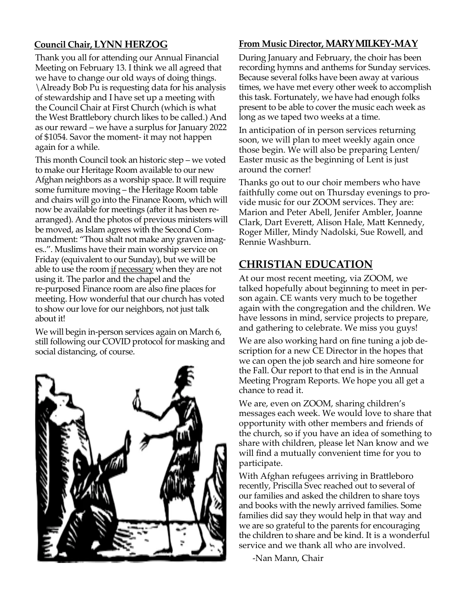#### **Council Chair, LYNN HERZOG**

Thank you all for attending our Annual Financial Meeting on February 13. I think we all agreed that we have to change our old ways of doing things. \Already Bob Pu is requesting data for his analysis of stewardship and I have set up a meeting with the Council Chair at First Church (which is what the West Brattlebory church likes to be called.) And as our reward – we have a surplus for January 2022 of \$1054. Savor the moment- it may not happen again for a while.

This month Council took an historic step – we voted to make our Heritage Room available to our new Afghan neighbors as a worship space. It will require some furniture moving – the Heritage Room table and chairs will go into the Finance Room, which will now be available for meetings (after it has been rearranged). And the photos of previous ministers will be moved, as Islam agrees with the Second Commandment: "Thou shalt not make any graven images..". Muslims have their main worship service on Friday (equivalent to our Sunday), but we will be able to use the room if necessary when they are not using it. The parlor and the chapel and the re-purposed Finance room are also fine places for meeting. How wonderful that our church has voted to show our love for our neighbors, not just talk about it!

We will begin in-person services again on March 6, still following our COVID protocol for masking and social distancing, of course.



#### **From Music Director, MARY MILKEY-MAY**

During January and February, the choir has been recording hymns and anthems for Sunday services. Because several folks have been away at various times, we have met every other week to accomplish this task. Fortunately, we have had enough folks present to be able to cover the music each week as long as we taped two weeks at a time.

In anticipation of in person services returning soon, we will plan to meet weekly again once those begin. We will also be preparing Lenten/ Easter music as the beginning of Lent is just around the corner!

Thanks go out to our choir members who have faithfully come out on Thursday evenings to provide music for our ZOOM services. They are: Marion and Peter Abell, Jenifer Ambler, Joanne Clark, Dart Everett, Alison Hale, Matt Kennedy, Roger Miller, Mindy Nadolski, Sue Rowell, and Rennie Washburn.

#### **CHRISTIAN EDUCATION**

At our most recent meeting, via ZOOM, we talked hopefully about beginning to meet in person again. CE wants very much to be together again with the congregation and the children. We have lessons in mind, service projects to prepare, and gathering to celebrate. We miss you guys!

We are also working hard on fine tuning a job description for a new CE Director in the hopes that we can open the job search and hire someone for the Fall. Our report to that end is in the Annual Meeting Program Reports. We hope you all get a chance to read it.

We are, even on ZOOM, sharing children's messages each week. We would love to share that opportunity with other members and friends of the church, so if you have an idea of something to share with children, please let Nan know and we will find a mutually convenient time for you to participate.

With Afghan refugees arriving in Brattleboro recently, Priscilla Svec reached out to several of our families and asked the children to share toys and books with the newly arrived families. Some families did say they would help in that way and we are so grateful to the parents for encouraging the children to share and be kind. It is a wonderful service and we thank all who are involved.

-Nan Mann, Chair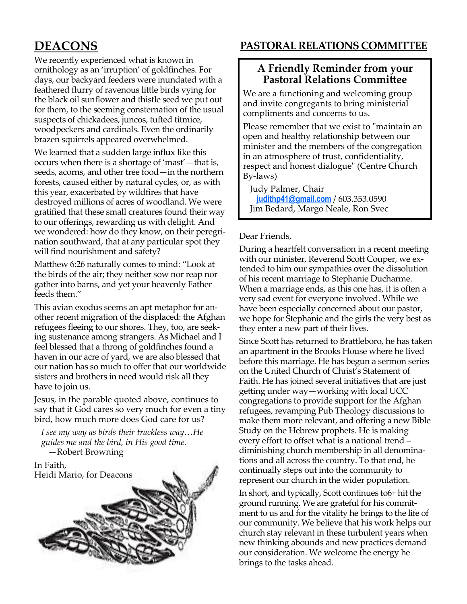We recently experienced what is known in ornithology as an 'irruption' of goldfinches. For days, our backyard feeders were inundated with a feathered flurry of ravenous little birds vying for the black oil sunflower and thistle seed we put out for them, to the seeming consternation of the usual suspects of chickadees, juncos, tufted titmice, woodpeckers and cardinals. Even the ordinarily brazen squirrels appeared overwhelmed.

We learned that a sudden large influx like this occurs when there is a shortage of 'mast'—that is, seeds, acorns, and other tree food—in the northern forests, caused either by natural cycles, or, as with this year, exacerbated by wildfires that have destroyed millions of acres of woodland. We were gratified that these small creatures found their way to our offerings, rewarding us with delight. And we wondered: how do they know, on their peregrination southward, that at any particular spot they will find nourishment and safety?

Matthew 6:26 naturally comes to mind: "Look at the birds of the air; they neither sow nor reap nor gather into barns, and yet your heavenly Father feeds them."

This avian exodus seems an apt metaphor for another recent migration of the displaced: the Afghan refugees fleeing to our shores. They, too, are seeking sustenance among strangers. As Michael and I feel blessed that a throng of goldfinches found a haven in our acre of yard, we are also blessed that our nation has so much to offer that our worldwide sisters and brothers in need would risk all they have to join us.

Jesus, in the parable quoted above, continues to say that if God cares so very much for even a tiny bird, how much more does God care for us?

*I see my way as birds their trackless way…He guides me and the bird, in His good time. —*Robert Browning

#### In Faith, Heidi Mario, for Deacons



#### **DEACONS PASTORAL RELATIONS COMMITTEE**

#### **A Friendly Reminder from your Pastoral Relations Committee**

We are a functioning and welcoming group and invite congregants to bring ministerial compliments and concerns to us.

Please remember that we exist to "maintain an open and healthy relationship between our minister and the members of the congregation in an atmosphere of trust, confidentiality, respect and honest dialogue" (Centre Church By-laws)

Judy Palmer, Chair **[judithp41@gmail.com](mailto:judithp41@gmail.com)** / 603.353.0590 Jim Bedard, Margo Neale, Ron Svec

#### Dear Friends,

During a heartfelt conversation in a recent meeting with our minister, Reverend Scott Couper, we extended to him our sympathies over the dissolution of his recent marriage to Stephanie Ducharme. When a marriage ends, as this one has, it is often a very sad event for everyone involved. While we have been especially concerned about our pastor, we hope for Stephanie and the girls the very best as they enter a new part of their lives.

Since Scott has returned to Brattleboro, he has taken an apartment in the Brooks House where he lived before this marriage. He has begun a sermon series on the United Church of Christ's Statement of Faith. He has joined several initiatives that are just getting under way—working with local UCC congregations to provide support for the Afghan refugees, revamping Pub Theology discussions to make them more relevant, and offering a new Bible Study on the Hebrew prophets. He is making every effort to offset what is a national trend – diminishing church membership in all denominations and all across the country. To that end, he continually steps out into the community to represent our church in the wider population.

In short, and typically, Scott continues to6+ hit the ground running. We are grateful for his commitment to us and for the vitality he brings to the life of our community. We believe that his work helps our church stay relevant in these turbulent years when new thinking abounds and new practices demand our consideration. We welcome the energy he brings to the tasks ahead.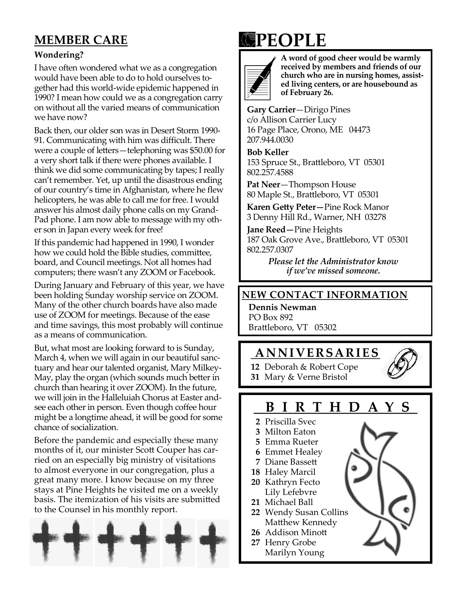### **MEMBER CARE**

#### **Wondering?**

I have often wondered what we as a congregation would have been able to do to hold ourselves together had this world-wide epidemic happened in 1990? I mean how could we as a congregation carry on without all the varied means of communication we have now?

Back then, our older son was in Desert Storm 1990- 91. Communicating with him was difficult. There were a couple of letters—telephoning was \$50.00 for a very short talk if there were phones available. I think we did some communicating by tapes; I really can't remember. Yet, up until the disastrous ending of our country's time in Afghanistan, where he flew helicopters, he was able to call me for free. I would answer his almost daily phone calls on my Grand-Pad phone. I am now able to message with my other son in Japan every week for free!

If this pandemic had happened in 1990, I wonder how we could hold the Bible studies, committee, board, and Council meetings. Not all homes had computers; there wasn't any ZOOM or Facebook.

During January and February of this year, we have been holding Sunday worship service on ZOOM. Many of the other church boards have also made use of ZOOM for meetings. Because of the ease and time savings, this most probably will continue as a means of communication.

But, what most are looking forward to is Sunday, March 4, when we will again in our beautiful sanctuary and hear our talented organist, Mary Milkey-May, play the organ (which sounds much better in church than hearing it over ZOOM). In the future, we will join in the Halleluiah Chorus at Easter andsee each other in person. Even though coffee hour might be a longtime ahead, it will be good for some chance of socialization.

Before the pandemic and especially these many months of it, our minister Scott Couper has carried on an especially big ministry of visitations to almost everyone in our congregation, plus a great many more. I know because on my three stays at Pine Heights he visited me on a weekly basis. The itemization of his visits are submitted to the Counsel in his monthly report.



# **PEOPLE**



**A word of good cheer would be warmly received by members and friends of our church who are in nursing homes, assisted living centers, or are housebound as of February 26.**

**Gary Carrier**—Dirigo Pines c/o Allison Carrier Lucy 16 Page Place, Orono, ME 04473 207.944.0030

**Bob Keller** 153 Spruce St., Brattleboro, VT 05301 802.257.4588

**Pat Neer**—Thompson House 80 Maple St., Brattleboro, VT 05301

**Karen Getty Peter—**Pine Rock Manor 3 Denny Hill Rd., Warner, NH 03278

**Jane Reed—**Pine Heights 187 Oak Grove Ave., Brattleboro, VT 05301 802.257.0307

> *Please let the Administrator know if we've missed someone.*

#### **NEW CONTACT INFORMATION**

**Dennis Newman** PO Box 892 Brattleboro, VT 05302

#### **AN N I VE R SAR I E S**

**12** Deborah & Robert Cope **31** Mary & Verne Bristol

#### **B I R T H D A Y S**

- **2** Priscilla Svec
- **3** Milton Eaton
- **5** Emma Rueter
- **6** Emmet Healey
- **7** Diane Bassett
- **18** Haley Marcil
- **20** Kathryn Fecto Lily Lefebvre
- **21** Michael Ball
- **22** Wendy Susan Collins Matthew Kennedy
- **26** Addison Minott
- **27** Henry Grobe
	- Marilyn Young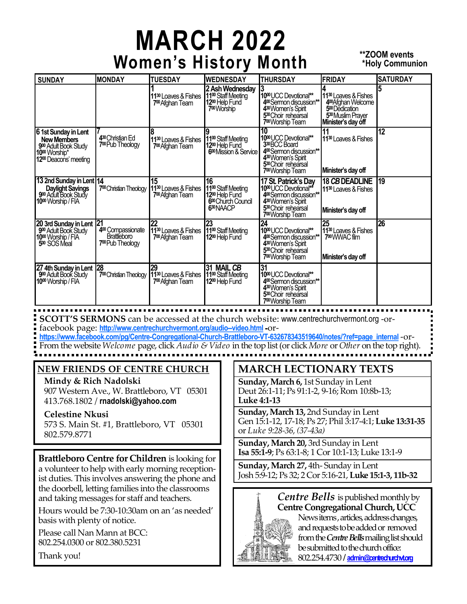# **MARCH 2022** Women's History Month **\*\*\*200M** events

## **\*Holy Communion**

| <b>SUNDAY</b>                                                                                                                       | <b>MONDAY</b>                                                                | <b>TUESDAY</b>                                                                                       | <b>WEDNESDAY</b>                                                                                                              | <b>THURSDAY</b>                                                                                                                                                                                      | <b>FRIDAY</b>                                                                                                                                           | <b>SATURDAY</b> |
|-------------------------------------------------------------------------------------------------------------------------------------|------------------------------------------------------------------------------|------------------------------------------------------------------------------------------------------|-------------------------------------------------------------------------------------------------------------------------------|------------------------------------------------------------------------------------------------------------------------------------------------------------------------------------------------------|---------------------------------------------------------------------------------------------------------------------------------------------------------|-----------------|
|                                                                                                                                     |                                                                              | 11 <sup>30</sup> Loaves & Fishes<br>7 <sup>00</sup> Afghan Team                                      | 2 Ash Wednesday<br>11 <sup>00</sup> Staff Meeting<br>12 <sup>00</sup> Help Fund<br>7 <sup>00</sup> Worship                    | 10 <sup>00</sup> UCC Devotional**<br>400 Sermon discussion**<br>4 <sup>30</sup> Women's Spirit<br>5 <sup>30</sup> Choir rehearsal<br>7 <sup>00</sup> Worship Team                                    | 11 <sup>30</sup> Loaves & Fishes<br>4 <sup>00</sup> Afghan Welcome<br>5 <sup>00</sup> Dedication<br>5 <sup>30</sup> Muslim Prayer<br>Minister's day off |                 |
| 61st Sunday in Lent<br><b>New Members</b><br>900 Adult Book Study<br>10 <sup>00</sup> Worship*<br>12 <sup>00</sup> Deacons' meeting | 4 <sup>30</sup> Christian Ed<br>7 <sup>00</sup> Pub Theology                 | 11 <sup>30</sup> Loaves & Fishes<br>7 <sup>00</sup> Afghan Team                                      | 11 <sup>00</sup> Staff Meeting<br>12 <sup>00</sup> Help Fund<br>6 <sup>00</sup> Mission & Service                             | 10<br>10 <sup>00</sup> UCC Devotional**<br>330 BCC Board<br>400 Sermon discussion**<br>430 Women's Spirit<br>5 <sup>30</sup> Choir rehearsal<br>7 <sup>00</sup> Worship Team                         | 11 <sup>30</sup> Loaves & Fishes<br>Minister's day off                                                                                                  | 12              |
| 13 2nd Sunday in Lent 14<br><b>Daylight Savings</b><br>900 Adult Book Study<br>10 <sup>00</sup> Worship / FIA                       | 7 <sup>00</sup> Christian Theology                                           | 15<br>11 <sup>30</sup> Loaves & Fishes<br>7 <sup>00</sup> Afghan Team                                | 16<br>11 <sup>00</sup> Staff Meeting<br>12 <sup>00</sup> Help Fund<br>6 <sup>00</sup> Church Council<br>6 <sup>30</sup> NAACP | 17 St. Patrick's Day<br>10 <sup>00</sup> UCC Devotional**<br>4 <sup>00</sup> Semon discussion**<br>4 <sup>30</sup> Women's Spirit<br>5 <sup>30</sup> Choir rehearsal<br>7 <sup>00</sup> Worship Team | 18 CB DEADLINE<br>11 <sup>30</sup> Loaves & Fishes<br>Minister's day off                                                                                | 19              |
| 20 3rd Sunday in Lent 21<br>900 Adult Book Study<br>10 <sup>00</sup> Worship / FIA<br>5 <sup>00</sup> SOS Meal                      | 4 <sup>00</sup> Compassionate<br>Brattleboro<br>7 <sup>00</sup> Pub Theology | 22<br>11 <sup>30</sup> Loaves & Fishes 11 <sup>00</sup> Staff Meeting<br>7 <sup>00</sup> Afghan Team | 23<br>12 <sup>00</sup> Help Fund                                                                                              | $\overline{24}$<br>10 <sup>00</sup> UCC Devotional**<br>4 <sup>00</sup> Semon discussion**<br>4 <sup>30</sup> Women's Spirit<br>5 <sup>30</sup> Choir rehearsal<br>7 <sup>00</sup> Worship Team      | 25<br>11 <sup>30</sup> Loaves & Fishes<br>7 <sup>00</sup> WWAC film<br>Minister's day off                                                               | 26              |
| 27 4th Sunday in Lent 28<br>900 Adult Book Study<br>10 <sup>00</sup> Worship / FIA                                                  | 7 <sup>00</sup> Christian Theology                                           | 29<br>11 <sup>30</sup> Loaves & Fishes 11 <sup>00</sup> Staff Meeting<br>7 <sup>00</sup> Afghan Team | 31 MAIL CB<br>12 <sup>00</sup> Help Fund                                                                                      | 31<br>10 <sup>00</sup> UCC Devotional**<br>400 Sermon discussion**<br>4 <sup>30</sup> Women's Spirit<br>5 <sup>30</sup> Choir rehearsal<br>7 <sup>00</sup> Worship Team                              |                                                                                                                                                         |                 |

**SCOTT'S SERMONS** can be accessed at the church website: www.centrechurchvermont.org -orfacebook page: **<http://www.centrechurchvermont.org/audio--video.html> -**or-

**[https://www.facebook.com/pg/Centre-Congregational-Church-Brattleboro-VT-632678343519640/notes/?ref=page\\_internal](https://www.facebook.com/pg/Centre-Congregational-Church-Brattleboro-VT-632678343519640/notes/?ref=page_internal)** -or-From the website *Welcome* page, click *Audio & Video* in the top list (or click *More* or *Other* on the top right).

#### **NEW FRIENDS OF CENTRE CHURCH**

**Mindy & Rich Nadolski** 907 Western Ave., W. Brattleboro, VT 05301 413.768.1802 / **rnadolski@yahoo.com**

**Celestine Nkusi** 573 S. Main St. #1, Brattleboro, VT 05301 802.579.8771

**Brattleboro Centre for Children** is looking for a volunteer to help with early morning receptionist duties. This involves answering the phone and the doorbell, letting families into the classrooms and taking messages for staff and teachers.

Hours would be 7:30-10:30am on an 'as needed' basis with plenty of notice.

Please call Nan Mann at BCC: 802.254.0300 or 802.380.5231

Thank you!

#### **MARCH LECTIONARY TEXTS**

**Sunday, March 6,** 1st Sunday in Lent Deut 26:1-11; Ps 91:1-2, 9-16; Rom 10:8b-13; **Luke 4:1-13**

**Sunday, March 13,** 2nd Sunday in Lent Gen 15:1-12, 17-18; Ps 27; Phil 3:17-4:1; **Luke 13:31-35**  or *Luke 9:28-36, (37-43a)*

**Sunday, March 20,** 3rd Sunday in Lent **Isa 55:1-9**; Ps 63:1-8; 1 Cor 10:1-13; Luke 13:1-9

**Sunday, March 27,** 4th- Sunday in Lent Josh 5:9-12; Ps 32; 2 Cor 5:16-21, **Luke 15:1-3, 11b-32**



802.254.4730 **/ admin@centrechurchvt.org**